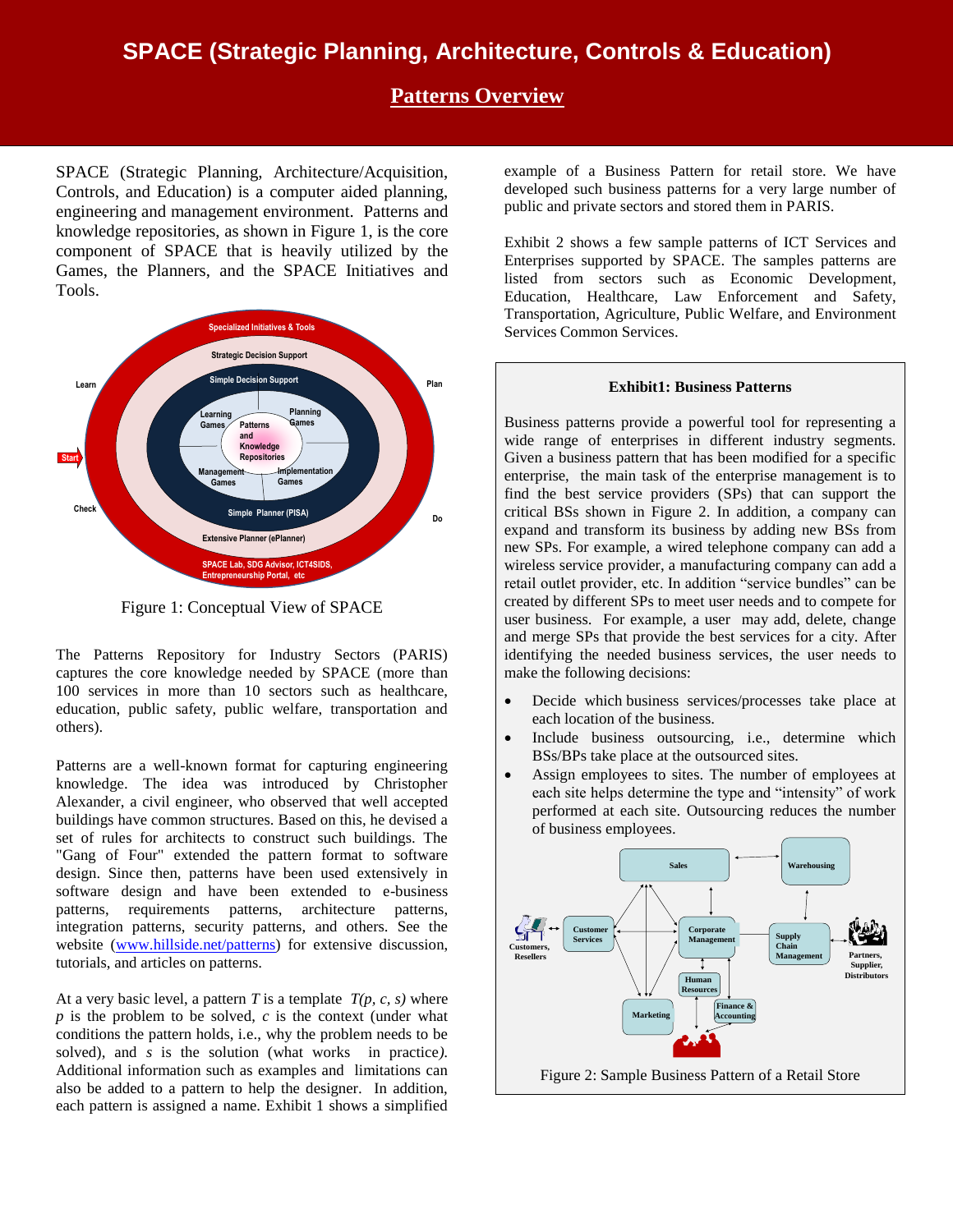# **SPACE (Strategic Planning, Architecture, Controls & Education)**

### **Patterns Overview**

SPACE (Strategic Planning, Architecture/Acquisition, Controls, and Education) is a computer aided planning, engineering and management environment. Patterns and knowledge repositories, as shown in Figure 1, is the core component of SPACE that is heavily utilized by the Games, the Planners, and the SPACE Initiatives and Tools.



Figure 1: Conceptual View of SPACE

The Patterns Repository for Industry Sectors (PARIS) captures the core knowledge needed by SPACE (more than 100 services in more than 10 sectors such as healthcare, education, public safety, public welfare, transportation and others).

Patterns are a well-known format for capturing engineering knowledge. The idea was introduced by Christopher Alexander, a civil engineer, who observed that well accepted buildings have common structures. Based on this, he devised a set of rules for architects to construct such buildings. The "Gang of Four" extended the pattern format to software design. Since then, patterns have been used extensively in software design and have been extended to e-business patterns, requirements patterns, architecture patterns, integration patterns, security patterns, and others. See the website [\(www.hillside.net/patterns\)](http://www.hillside.net/patterns) for extensive discussion, tutorials, and articles on patterns.

At a very basic level, a pattern  $T$  is a template  $T(p, c, s)$  where *p* is the problem to be solved, *c* is the context (under what conditions the pattern holds, i.e., why the problem needs to be solved), and *s* is the solution (what works in practice*).*  Additional information such as examples and limitations can also be added to a pattern to help the designer. In addition, each pattern is assigned a name. Exhibit 1 shows a simplified

example of a Business Pattern for retail store. We have developed such business patterns for a very large number of public and private sectors and stored them in PARIS.

Exhibit 2 shows a few sample patterns of ICT Services and Enterprises supported by SPACE. The samples patterns are listed from sectors such as Economic Development, Education, Healthcare, Law Enforcement and Safety, Transportation, Agriculture, Public Welfare, and Environment Services Common Services.

#### **Exhibit1: Business Patterns**

Business patterns provide a powerful tool for representing a wide range of enterprises in different industry segments. Given a business pattern that has been modified for a specific enterprise, the main task of the enterprise management is to find the best service providers (SPs) that can support the critical BSs shown in Figure 2. In addition, a company can expand and transform its business by adding new BSs from new SPs. For example, a wired telephone company can add a wireless service provider, a manufacturing company can add a retail outlet provider, etc. In addition "service bundles" can be created by different SPs to meet user needs and to compete for user business. For example, a user may add, delete, change and merge SPs that provide the best services for a city. After identifying the needed business services, the user needs to make the following decisions:

- Decide which business services/processes take place at each location of the business.
- Include business outsourcing, i.e., determine which BSs/BPs take place at the outsourced sites.
- Assign employees to sites. The number of employees at each site helps determine the type and "intensity" of work performed at each site. Outsourcing reduces the number of business employees.